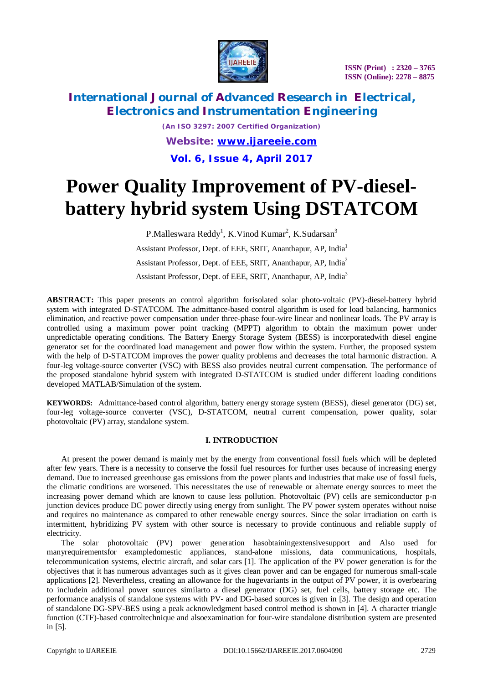

*(An ISO 3297: 2007 Certified Organization) Website: [www.ijareeie.com](http://www.ijareeie.com)* **Vol. 6, Issue 4, April 2017**

# **Power Quality Improvement of PV-dieselbattery hybrid system Using DSTATCOM**

P.Malleswara Reddy<sup>1</sup>, K.Vinod Kumar<sup>2</sup>, K.Sudarsan<sup>3</sup> Assistant Professor, Dept. of EEE, SRIT, Ananthapur, AP, India<sup>1</sup> Assistant Professor, Dept. of EEE, SRIT, Ananthapur, AP, India<sup>2</sup> Assistant Professor, Dept. of EEE, SRIT, Ananthapur, AP, India<sup>3</sup>

**ABSTRACT:** This paper presents an control algorithm forisolated solar photo-voltaic (PV)-diesel-battery hybrid system with integrated D-STATCOM. The admittance-based control algorithm is used for load balancing, harmonics elimination, and reactive power compensation under three-phase four-wire linear and nonlinear loads. The PV array is controlled using a maximum power point tracking (MPPT) algorithm to obtain the maximum power under unpredictable operating conditions. The Battery Energy Storage System (BESS) is incorporatedwith diesel engine generator set for the coordinated load management and power flow within the system. Further, the proposed system with the help of D-STATCOM improves the power quality problems and decreases the total harmonic distraction. A four-leg voltage-source converter (VSC) with BESS also provides neutral current compensation. The performance of the proposed standalone hybrid system with integrated D-STATCOM is studied under different loading conditions developed MATLAB/Simulation of the system.

**KEYWORDS:** Admittance-based control algorithm, battery energy storage system (BESS), diesel generator (DG) set, four-leg voltage-source converter (VSC), D-STATCOM, neutral current compensation, power quality, solar photovoltaic (PV) array, standalone system.

### **I. INTRODUCTION**

At present the power demand is mainly met by the energy from conventional fossil fuels which will be depleted after few years. There is a necessity to conserve the fossil fuel resources for further uses because of increasing energy demand. Due to increased greenhouse gas emissions from the power plants and industries that make use of fossil fuels, the climatic conditions are worsened. This necessitates the use of renewable or alternate energy sources to meet the increasing power demand which are known to cause less pollution. Photovoltaic (PV) cells are semiconductor p-n junction devices produce DC power directly using energy from sunlight. The PV power system operates without noise and requires no maintenance as compared to other renewable energy sources. Since the solar irradiation on earth is intermittent, hybridizing PV system with other source is necessary to provide continuous and reliable supply of electricity.

The solar photovoltaic (PV) power generation hasobtainingextensivesupport and Also used for manyrequirementsfor exampledomestic appliances, stand-alone missions, data communications, hospitals, telecommunication systems, electric aircraft, and solar cars [1]. The application of the PV power generation is for the objectives that it has numerous advantages such as it gives clean power and can be engaged for numerous small-scale applications [2]. Nevertheless, creating an allowance for the hugevariants in the output of PV power, it is overbearing to includein additional power sources similarto a diesel generator (DG) set, fuel cells, battery storage etc. The performance analysis of standalone systems with PV- and DG-based sources is given in [3]. The design and operation of standalone DG-SPV-BES using a peak acknowledgment based control method is shown in [4]. A character triangle function (CTF)-based controltechnique and alsoexamination for four-wire standalone distribution system are presented in [5].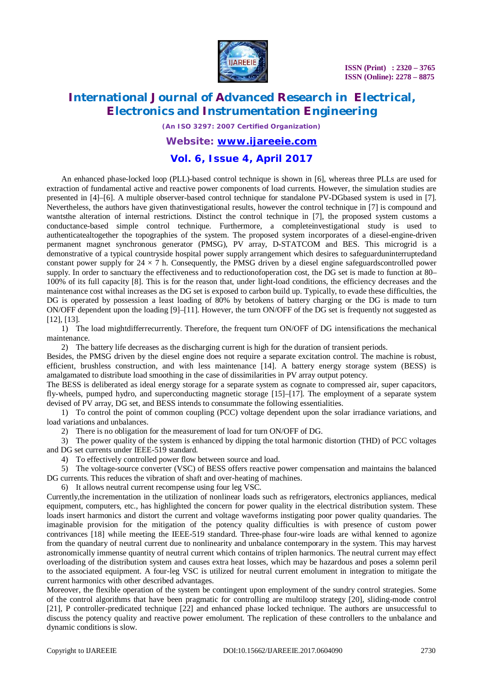

# **International Journal of Advanced Research in Electrical, Electronics and Instrumentation Engineering**

*(An ISO 3297: 2007 Certified Organization)*

### *Website: [www.ijareeie.com](http://www.ijareeie.com)*

### **Vol. 6, Issue 4, April 2017**

An enhanced phase-locked loop (PLL)-based control technique is shown in [6], whereas three PLLs are used for extraction of fundamental active and reactive power components of load currents. However, the simulation studies are presented in [4]–[6]. A multiple observer-based control technique for standalone PV-DGbased system is used in [7]. Nevertheless, the authors have given thatinvestigational results, however the control technique in [7] is compound and wantsthe alteration of internal restrictions. Distinct the control technique in [7], the proposed system customs a conductance-based simple control technique. Furthermore, a completeinvestigational study is used to authenticatealtogether the topographies of the system. The proposed system incorporates of a diesel-engine-driven permanent magnet synchronous generator (PMSG), PV array, D-STATCOM and BES. This microgrid is a demonstrative of a typical countryside hospital power supply arrangement which desires to safeguarduninterruptedand constant power supply for  $24 \times 7$  h. Consequently, the PMSG driven by a diesel engine safeguardscontrolled power supply. In order to sanctuary the effectiveness and to reductionofoperation cost, the DG set is made to function at 80– 100% of its full capacity [8]. This is for the reason that, under light-load conditions, the efficiency decreases and the maintenance cost withal increases as the DG set is exposed to carbon build up. Typically, to evade these difficulties, the DG is operated by possession a least loading of 80% by betokens of battery charging or the DG is made to turn ON/OFF dependent upon the loading [9]–[11]. However, the turn ON/OFF of the DG set is frequently not suggested as [12], [13].

1) The load mightdifferrecurrently. Therefore, the frequent turn ON/OFF of DG intensifications the mechanical maintenance.

2) The battery life decreases as the discharging current is high for the duration of transient periods.

Besides, the PMSG driven by the diesel engine does not require a separate excitation control. The machine is robust, efficient, brushless construction, and with less maintenance [14]. A battery energy storage system (BESS) is amalgamated to distribute load smoothing in the case of dissimilarities in PV array output potency.

The BESS is deliberated as ideal energy storage for a separate system as cognate to compressed air, super capacitors, fly-wheels, pumped hydro, and superconducting magnetic storage [15]–[17]. The employment of a separate system devised of PV array, DG set, and BESS intends to consummate the following essentialities.

1) To control the point of common coupling (PCC) voltage dependent upon the solar irradiance variations, and load variations and unbalances.

2) There is no obligation for the measurement of load for turn ON/OFF of DG.

3) The power quality of the system is enhanced by dipping the total harmonic distortion (THD) of PCC voltages and DG set currents under IEEE-519 standard.

4) To effectively controlled power flow between source and load.

5) The voltage-source converter (VSC) of BESS offers reactive power compensation and maintains the balanced DG currents. This reduces the vibration of shaft and over-heating of machines.

6) It allows neutral current recompense using four leg VSC.

Currently,the incrementation in the utilization of nonlinear loads such as refrigerators, electronics appliances, medical equipment, computers, etc., has highlighted the concern for power quality in the electrical distribution system. These loads insert harmonics and distort the current and voltage waveforms instigating poor power quality quandaries. The imaginable provision for the mitigation of the potency quality difficulties is with presence of custom power contrivances [18] while meeting the IEEE-519 standard. Three-phase four-wire loads are withal kenned to agonize from the quandary of neutral current due to nonlinearity and unbalance contemporary in the system. This may harvest astronomically immense quantity of neutral current which contains of triplen harmonics. The neutral current may effect overloading of the distribution system and causes extra heat losses, which may be hazardous and poses a solemn peril to the associated equipment. A four-leg VSC is utilized for neutral current emolument in integration to mitigate the current harmonics with other described advantages.

Moreover, the flexible operation of the system be contingent upon employment of the sundry control strategies. Some of the control algorithms that have been pragmatic for controlling are multiloop strategy [20], sliding-mode control [21], P controller-predicated technique [22] and enhanced phase locked technique. The authors are unsuccessful to discuss the potency quality and reactive power emolument. The replication of these controllers to the unbalance and dynamic conditions is slow.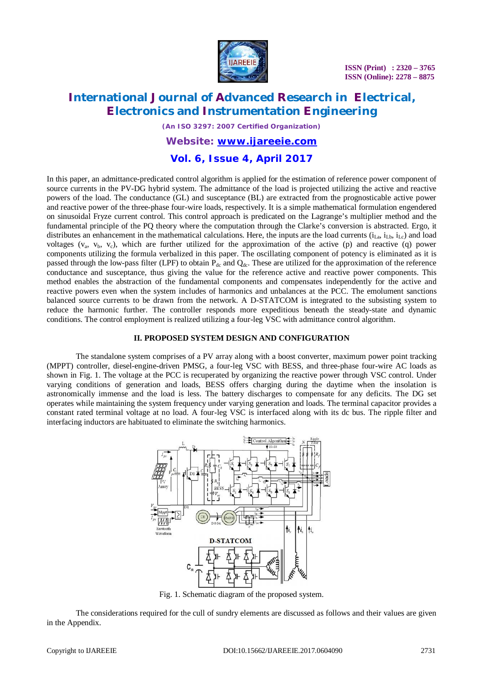

# **International Journal of Advanced Research in Electrical, Electronics and Instrumentation Engineering**

*(An ISO 3297: 2007 Certified Organization)*

### *Website: [www.ijareeie.com](http://www.ijareeie.com)*

### **Vol. 6, Issue 4, April 2017**

In this paper, an admittance-predicated control algorithm is applied for the estimation of reference power component of source currents in the PV-DG hybrid system. The admittance of the load is projected utilizing the active and reactive powers of the load. The conductance (GL) and susceptance (BL) are extracted from the prognosticable active power and reactive power of the three-phase four-wire loads, respectively. It is a simple mathematical formulation engendered on sinusoidal Fryze current control. This control approach is predicated on the Lagrange's multiplier method and the fundamental principle of the PQ theory where the computation through the Clarke's conversion is abstracted. Ergo, it distributes an enhancement in the mathematical calculations. Here, the inputs are the load currents  $(i<sub>La</sub>, i<sub>Lb</sub>, i<sub>Lo</sub>)$  and load voltages  $(v_a, v_b, v_c)$ , which are further utilized for the approximation of the active (p) and reactive (q) power components utilizing the formula verbalized in this paper. The oscillating component of potency is eliminated as it is passed through the low-pass filter (LPF) to obtain  $P_{dc}$  and  $Q_{dc}$ . These are utilized for the approximation of the reference conductance and susceptance, thus giving the value for the reference active and reactive power components. This method enables the abstraction of the fundamental components and compensates independently for the active and reactive powers even when the system includes of harmonics and unbalances at the PCC. The emolument sanctions balanced source currents to be drawn from the network. A D-STATCOM is integrated to the subsisting system to reduce the harmonic further. The controller responds more expeditious beneath the steady-state and dynamic conditions. The control employment is realized utilizing a four-leg VSC with admittance control algorithm.

#### **II. PROPOSED SYSTEM DESIGN AND CONFIGURATION**

The standalone system comprises of a PV array along with a boost converter, maximum power point tracking (MPPT) controller, diesel-engine-driven PMSG, a four-leg VSC with BESS, and three-phase four-wire AC loads as shown in Fig. 1. The voltage at the PCC is recuperated by organizing the reactive power through VSC control. Under varying conditions of generation and loads, BESS offers charging during the daytime when the insolation is astronomically immense and the load is less. The battery discharges to compensate for any deficits. The DG set operates while maintaining the system frequency under varying generation and loads. The terminal capacitor provides a constant rated terminal voltage at no load. A four-leg VSC is interfaced along with its dc bus. The ripple filter and interfacing inductors are habituated to eliminate the switching harmonics.



Fig. 1. Schematic diagram of the proposed system.

The considerations required for the cull of sundry elements are discussed as follows and their values are given in the Appendix.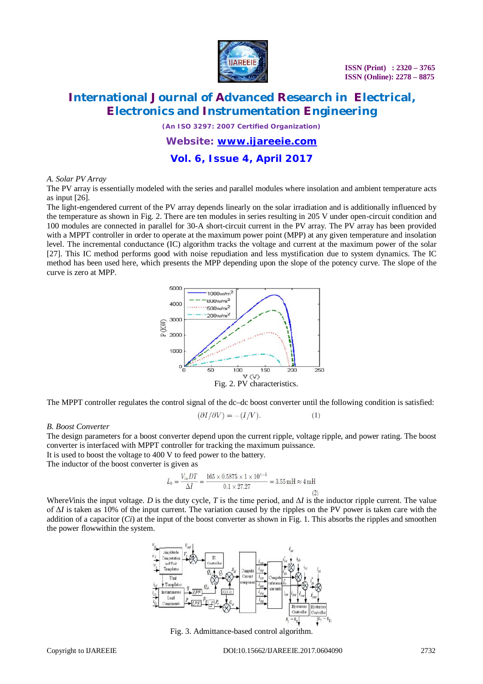

*(An ISO 3297: 2007 Certified Organization)*

### *Website: [www.ijareeie.com](http://www.ijareeie.com)*

**Vol. 6, Issue 4, April 2017**

#### *A. Solar PV Array*

The PV array is essentially modeled with the series and parallel modules where insolation and ambient temperature acts as input [26].

The light-engendered current of the PV array depends linearly on the solar irradiation and is additionally influenced by the temperature as shown in Fig. 2. There are ten modules in series resulting in 205 V under open-circuit condition and 100 modules are connected in parallel for 30-A short-circuit current in the PV array. The PV array has been provided with a MPPT controller in order to operate at the maximum power point (MPP) at any given temperature and insolation level. The incremental conductance (IC) algorithm tracks the voltage and current at the maximum power of the solar [27]. This IC method performs good with noise repudiation and less mystification due to system dynamics. The IC method has been used here, which presents the MPP depending upon the slope of the potency curve. The slope of the curve is zero at MPP.



The MPPT controller regulates the control signal of the dc–dc boost converter until the following condition is satisfied:

$$
(\partial I/\partial V) = -(I/V). \tag{1}
$$

#### *B. Boost Converter*

The design parameters for a boost converter depend upon the current ripple, voltage ripple, and power rating. The boost converter is interfaced with MPPT controller for tracking the maximum puissance.

It is used to boost the voltage to 400 V to feed power to the battery.

The inductor of the boost converter is given as

$$
L_b = \frac{V_{\text{in}} DT}{\Delta I} = \frac{165 \times 0.5875 \times 1 \times 10^{\circ - 4}}{0.1 \times 27.27} = 3.55 \,\text{mH} \approx 4 \,\text{mH}
$$

Where*V*inis the input voltage. *D* is the duty cycle, *T* is the time period, and  $\Delta I$  is the inductor ripple current. The value of Δ*I* is taken as 10% of the input current. The variation caused by the ripples on the PV power is taken care with the addition of a capacitor (*Ci*) at the input of the boost converter as shown in Fig. 1. This absorbs the ripples and smoothen the power flowwithin the system.



Fig. 3. Admittance-based control algorithm.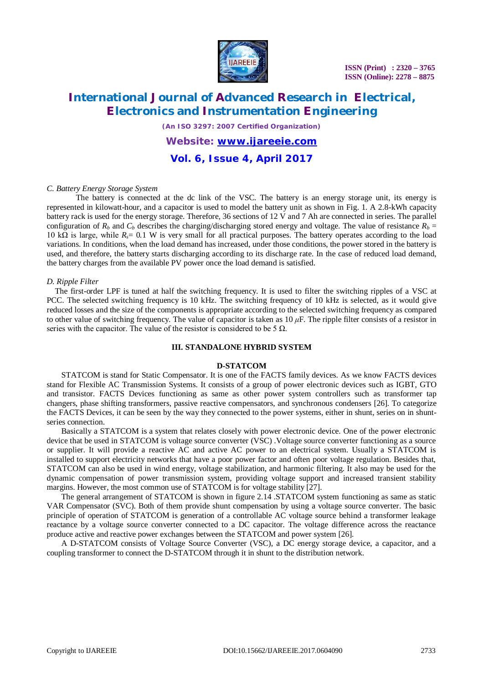

# **International Journal of Advanced Research in Electrical, Electronics and Instrumentation Engineering**

*(An ISO 3297: 2007 Certified Organization)*

*Website: [www.ijareeie.com](http://www.ijareeie.com)*

**Vol. 6, Issue 4, April 2017**

#### *C. Battery Energy Storage System*

The battery is connected at the dc link of the VSC. The battery is an energy storage unit, its energy is represented in kilowatt-hour, and a capacitor is used to model the battery unit as shown in Fig. 1. A 2.8-kWh capacity battery rack is used for the energy storage. Therefore, 36 sections of 12 V and 7 Ah are connected in series. The parallel configuration of  $R_b$  and  $C_b$  describes the charging/discharging stored energy and voltage. The value of resistance  $R_b$  = 10 kΩ is large, while *Rs*= 0*.*1 W is very small for all practical purposes. The battery operates according to the load variations. In conditions, when the load demand has increased, under those conditions, the power stored in the battery is used, and therefore, the battery starts discharging according to its discharge rate. In the case of reduced load demand, the battery charges from the available PV power once the load demand is satisfied.

#### *D. Ripple Filter*

The first-order LPF is tuned at half the switching frequency. It is used to filter the switching ripples of a VSC at PCC. The selected switching frequency is 10 kHz. The switching frequency of 10 kHz is selected, as it would give reduced losses and the size of the components is appropriate according to the selected switching frequency as compared to other value of switching frequency. The value of capacitor is taken as  $10 \mu$ F. The ripple filter consists of a resistor in series with the capacitor. The value of the resistor is considered to be 5  $\Omega$ .

#### **III. STANDALONE HYBRID SYSTEM**

#### **D-STATCOM**

STATCOM is stand for Static Compensator. It is one of the FACTS family devices. As we know FACTS devices stand for Flexible AC Transmission Systems. It consists of a group of power electronic devices such as IGBT, GTO and transistor. FACTS Devices functioning as same as other power system controllers such as transformer tap changers, phase shifting transformers, passive reactive compensators, and synchronous condensers [26]. To categorize the FACTS Devices, it can be seen by the way they connected to the power systems, either in shunt, series on in shuntseries connection.

Basically a STATCOM is a system that relates closely with power electronic device. One of the power electronic device that be used in STATCOM is voltage source converter (VSC) .Voltage source converter functioning as a source or supplier. It will provide a reactive AC and active AC power to an electrical system. Usually a STATCOM is installed to support electricity networks that have a poor power factor and often poor voltage regulation. Besides that, STATCOM can also be used in wind energy, voltage stabilization, and harmonic filtering. It also may be used for the dynamic compensation of power transmission system, providing voltage support and increased transient stability margins. However, the most common use of STATCOM is for voltage stability [27].

The general arrangement of STATCOM is shown in figure 2.14 .STATCOM system functioning as same as static VAR Compensator (SVC). Both of them provide shunt compensation by using a voltage source converter. The basic principle of operation of STATCOM is generation of a controllable AC voltage source behind a transformer leakage reactance by a voltage source converter connected to a DC capacitor. The voltage difference across the reactance produce active and reactive power exchanges between the STATCOM and power system [26].

A D-STATCOM consists of Voltage Source Converter (VSC), a DC energy storage device, a capacitor, and a coupling transformer to connect the D-STATCOM through it in shunt to the distribution network.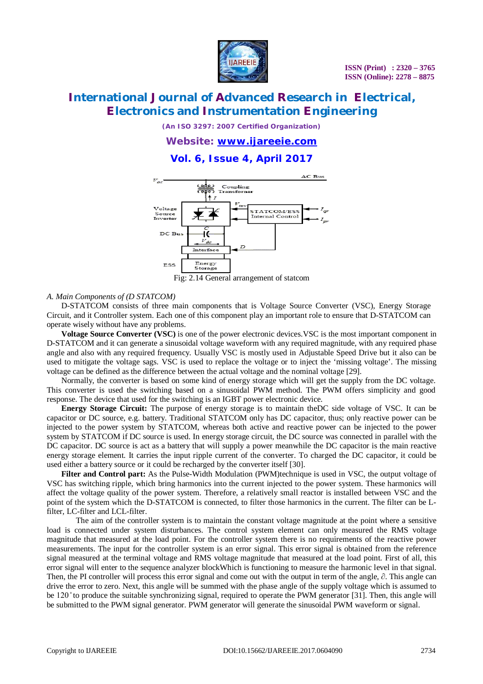

*(An ISO 3297: 2007 Certified Organization)*

*Website: [www.ijareeie.com](http://www.ijareeie.com)*

**Vol. 6, Issue 4, April 2017**



#### *A. Main Components of (D STATCOM)*

D-STATCOM consists of three main components that is Voltage Source Converter (VSC), Energy Storage Circuit, and it Controller system. Each one of this component play an important role to ensure that D-STATCOM can operate wisely without have any problems.

**Voltage Source Converter (VSC)** is one of the power electronic devices.VSC is the most important component in D-STATCOM and it can generate a sinusoidal voltage waveform with any required magnitude, with any required phase angle and also with any required frequency. Usually VSC is mostly used in Adjustable Speed Drive but it also can be used to mitigate the voltage sags. VSC is used to replace the voltage or to inject the 'missing voltage'. The missing voltage can be defined as the difference between the actual voltage and the nominal voltage [29].

Normally, the converter is based on some kind of energy storage which will get the supply from the DC voltage. This converter is used the switching based on a sinusoidal PWM method. The PWM offers simplicity and good response. The device that used for the switching is an IGBT power electronic device.

**Energy Storage Circuit:** The purpose of energy storage is to maintain theDC side voltage of VSC. It can be capacitor or DC source, e.g. battery. Traditional STATCOM only has DC capacitor, thus; only reactive power can be injected to the power system by STATCOM, whereas both active and reactive power can be injected to the power system by STATCOM if DC source is used. In energy storage circuit, the DC source was connected in parallel with the DC capacitor. DC source is act as a battery that will supply a power meanwhile the DC capacitor is the main reactive energy storage element. It carries the input ripple current of the converter. To charged the DC capacitor, it could be used either a battery source or it could be recharged by the converter itself [30].

Filter and Control part: As the Pulse-Width Modulation (PWM)technique is used in VSC, the output voltage of VSC has switching ripple, which bring harmonics into the current injected to the power system. These harmonics will affect the voltage quality of the power system. Therefore, a relatively small reactor is installed between VSC and the point of the system which the D-STATCOM is connected, to filter those harmonics in the current. The filter can be Lfilter, LC-filter and LCL-filter.

The aim of the controller system is to maintain the constant voltage magnitude at the point where a sensitive load is connected under system disturbances. The control system element can only measured the RMS voltage magnitude that measured at the load point. For the controller system there is no requirements of the reactive power measurements. The input for the controller system is an error signal. This error signal is obtained from the reference signal measured at the terminal voltage and RMS voltage magnitude that measured at the load point. First of all, this error signal will enter to the sequence analyzer blockWhich is functioning to measure the harmonic level in that signal. Then, the PI controller will process this error signal and come out with the output in term of the angle,  $\partial$ . This angle can drive the error to zero. Next, this angle will be summed with the phase angle of the supply voltage which is assumed to be 120 ̊ to produce the suitable synchronizing signal, required to operate the PWM generator [31]. Then, this angle will be submitted to the PWM signal generator. PWM generator will generate the sinusoidal PWM waveform or signal.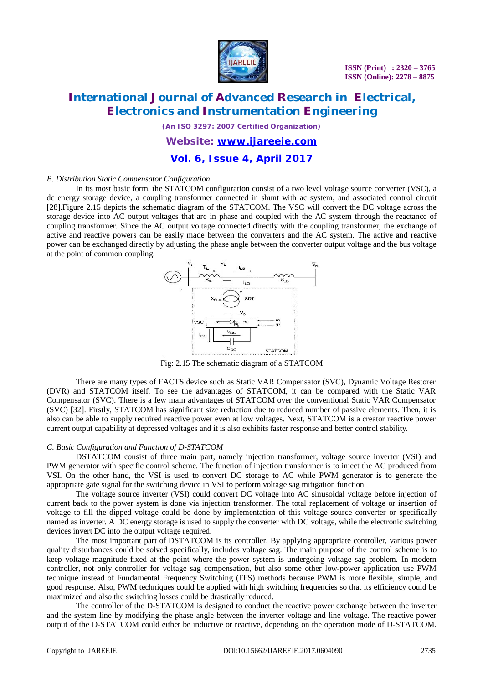

*(An ISO 3297: 2007 Certified Organization)*

### *Website: [www.ijareeie.com](http://www.ijareeie.com)*

**Vol. 6, Issue 4, April 2017**

#### *B. Distribution Static Compensator Configuration*

In its most basic form, the STATCOM configuration consist of a two level voltage source converter (VSC), a dc energy storage device, a coupling transformer connected in shunt with ac system, and associated control circuit [28].Figure 2.15 depicts the schematic diagram of the STATCOM. The VSC will convert the DC voltage across the storage device into AC output voltages that are in phase and coupled with the AC system through the reactance of coupling transformer. Since the AC output voltage connected directly with the coupling transformer, the exchange of active and reactive powers can be easily made between the converters and the AC system. The active and reactive power can be exchanged directly by adjusting the phase angle between the converter output voltage and the bus voltage at the point of common coupling.



Fig: 2.15 The schematic diagram of a STATCOM

There are many types of FACTS device such as Static VAR Compensator (SVC), Dynamic Voltage Restorer (DVR) and STATCOM itself. To see the advantages of STATCOM, it can be compared with the Static VAR Compensator (SVC). There is a few main advantages of STATCOM over the conventional Static VAR Compensator (SVC) [32]. Firstly, STATCOM has significant size reduction due to reduced number of passive elements. Then, it is also can be able to supply required reactive power even at low voltages. Next, STATCOM is a creator reactive power current output capability at depressed voltages and it is also exhibits faster response and better control stability.

#### *C. Basic Configuration and Function of D-STATCOM*

DSTATCOM consist of three main part, namely injection transformer, voltage source inverter (VSI) and PWM generator with specific control scheme. The function of injection transformer is to inject the AC produced from VSI. On the other hand, the VSI is used to convert DC storage to AC while PWM generator is to generate the appropriate gate signal for the switching device in VSI to perform voltage sag mitigation function.

The voltage source inverter (VSI) could convert DC voltage into AC sinusoidal voltage before injection of current back to the power system is done via injection transformer. The total replacement of voltage or insertion of voltage to fill the dipped voltage could be done by implementation of this voltage source converter or specifically named as inverter. A DC energy storage is used to supply the converter with DC voltage, while the electronic switching devices invert DC into the output voltage required.

The most important part of DSTATCOM is its controller. By applying appropriate controller, various power quality disturbances could be solved specifically, includes voltage sag. The main purpose of the control scheme is to keep voltage magnitude fixed at the point where the power system is undergoing voltage sag problem. In modern controller, not only controller for voltage sag compensation, but also some other low-power application use PWM technique instead of Fundamental Frequency Switching (FFS) methods because PWM is more flexible, simple, and good response. Also, PWM techniques could be applied with high switching frequencies so that its efficiency could be maximized and also the switching losses could be drastically reduced.

The controller of the D-STATCOM is designed to conduct the reactive power exchange between the inverter and the system line by modifying the phase angle between the inverter voltage and line voltage. The reactive power output of the D-STATCOM could either be inductive or reactive, depending on the operation mode of D-STATCOM.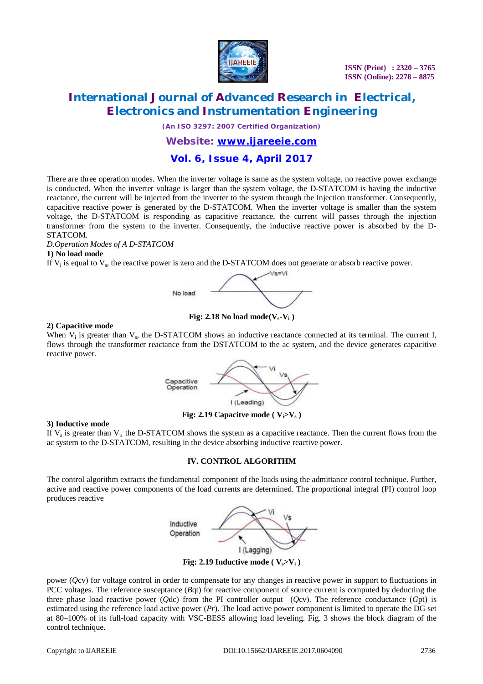

# **International Journal of Advanced Research in Electrical, Electronics and Instrumentation Engineering**

*(An ISO 3297: 2007 Certified Organization)*

### *Website: [www.ijareeie.com](http://www.ijareeie.com)*

# **Vol. 6, Issue 4, April 2017**

There are three operation modes. When the inverter voltage is same as the system voltage, no reactive power exchange is conducted. When the inverter voltage is larger than the system voltage, the D-STATCOM is having the inductive reactance, the current will be injected from the inverter to the system through the Injection transformer. Consequently, capacitive reactive power is generated by the D-STATCOM. When the inverter voltage is smaller than the system voltage, the D-STATCOM is responding as capacitive reactance, the current will passes through the injection transformer from the system to the inverter. Consequently, the inductive reactive power is absorbed by the D-STATCOM.

*D.Operation Modes of A D-STATCOM*

#### **1) No load mode**

If  $V_i$  is equal to  $V_s$ , the reactive power is zero and the D-STATCOM does not generate or absorb reactive power.



**Fig: 2.18 No load mode(** $V_s$ **<b>-V**<sub>i</sub>)

#### **2) Capacitive mode**

When  $V_i$  is greater than  $V_s$ , the D-STATCOM shows an inductive reactance connected at its terminal. The current I, flows through the transformer reactance from the DSTATCOM to the ac system, and the device generates capacitive reactive power.

> Capacitive Operation



I (Leading)

#### **3) Inductive mode**

If  $V_s$  is greater than  $V_i$ , the D-STATCOM shows the system as a capacitive reactance. Then the current flows from the ac system to the D-STATCOM, resulting in the device absorbing inductive reactive power.

#### **IV. CONTROL ALGORITHM**

The control algorithm extracts the fundamental component of the loads using the admittance control technique. Further, active and reactive power components of the load currents are determined. The proportional integral (PI) control loop produces reactive



**Fig: 2.19 Inductive mode (** $V_s > V_i$ **)** 

power (*Q*cv) for voltage control in order to compensate for any changes in reactive power in support to fluctuations in PCC voltages. The reference susceptance (*B*qt) for reactive component of source current is computed by deducting the three phase load reactive power (*Q*dc) from the PI controller output (*Q*cv). The reference conductance (*G*pt) is estimated using the reference load active power  $(Pr)$ . The load active power component is limited to operate the DG set at 80–100% of its full-load capacity with VSC-BESS allowing load leveling. Fig. 3 shows the block diagram of the control technique.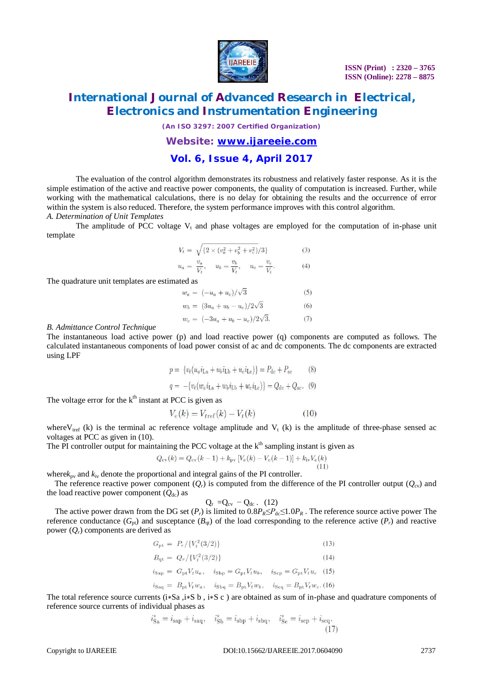

*(An ISO 3297: 2007 Certified Organization)*

### *Website: [www.ijareeie.com](http://www.ijareeie.com)*

### **Vol. 6, Issue 4, April 2017**

The evaluation of the control algorithm demonstrates its robustness and relatively faster response. As it is the simple estimation of the active and reactive power components, the quality of computation is increased. Further, while working with the mathematical calculations, there is no delay for obtaining the results and the occurrence of error within the system is also reduced. Therefore, the system performance improves with this control algorithm. *A. Determination of Unit Templates*

The amplitude of PCC voltage  $V_t$  and phase voltages are employed for the computation of in-phase unit template

$$
V_t = \sqrt{\{2 \times (v_a^2 + v_b^2 + v_c^2)/3\}}
$$
 (3)

$$
u_a = \frac{v_a}{V_t}, \quad u_b = \frac{v_b}{V_t}, \quad u_c = \frac{v_c}{V_t}.
$$
 (4)

The quadrature unit templates are estimated as

$$
w_a = (-u_a + u_c)/\sqrt{3}
$$
 (5)  
\n
$$
w_b = (3u_a + u_b - u_c)/2\sqrt{3}
$$
 (6)  
\n
$$
w_c = (-3u_a + u_b - u_c)/2\sqrt{3}.
$$
 (7)

#### *B. Admittance Control Technique*

The instantaneous load active power (p) and load reactive power (q) components are computed as follows. The calculated instantaneous components of load power consist of ac and dc components. The dc components are extracted using LPF

$$
p = \{v_t(u_a i_{\text{La}} + u_b i_{\text{Lb}} + u_c i_{\text{Lc}})\} = P_{\text{dc}} + P_{\text{ac}}
$$
(8)  

$$
q = -\{v_t(w_a i_{\text{La}} + w_b i_{\text{Lb}} + w_c i_{\text{Lc}})\} = Q_{\text{dc}} + Q_{\text{ac}}.
$$
(9)

The voltage error for the  $k<sup>th</sup>$  instant at PCC is given as

$$
V_e(k) = V_{\text{tref}}(k) - V_t(k) \tag{10}
$$

where V<sub>tref</sub> (k) is the terminal ac reference voltage amplitude and V<sub>t</sub> (k) is the amplitude of three-phase sensed ac voltages at PCC as given in (10).

The PI controller output for maintaining the PCC voltage at the  $k<sup>th</sup>$  sampling instant is given as

$$
Q_{\text{cv}}(k) = Q_{\text{cv}}(k-1) + k_{\text{pv}} \left[ V_e(k) - V_e(k-1) \right] + k_{\text{iv}} V_e(k)
$$

where $k_{\text{pv}}$  and  $k_{\text{iv}}$  denote the proportional and integral gains of the PI controller.

The reference reactive power component  $(O_r)$  is computed from the difference of the PI controller output  $(O_{cv})$  and the load reactive power component  $(Q_{dc})$  as

$$
Q_{r} = Q_{cv} - Q_{dc} . (12)
$$

The active power drawn from the DG set  $(P_r)$  is limited to  $0.8P_R \leq P_{\text{dc}} \leq 1.0P_R$ . The reference source active power The reference conductance  $(G_{\text{nt}})$  and susceptance  $(B_{\text{nt}})$  of the load corresponding to the reference active  $(P_r)$  and reactive power  $(Q_r)$  components are derived as

$$
G_{\rm pt} = P_r / \{ V_t^2(3/2) \} \tag{13}
$$

$$
B_{qt} = Q_r / \{V_t^2(3/2)\}
$$

$$
i_{\text{Sap}} = G_{\text{pt}} V_t u_a, \quad i_{\text{Sbp}} = G_{\text{pt}} V_t u_b, \quad i_{\text{Scp}} = G_{\text{pt}} V_t u_c \quad (15)
$$
  

$$
i_{\text{Saq}} = B_{\text{pt}} V_t w_a, \quad i_{\text{Sbg}} = B_{\text{pt}} V_t w_b, \quad i_{\text{Scq}} = B_{\text{pt}} V_t w_c. (16)
$$

The total reference source currents ( $i*Sa$ ,  $i*S$  b,  $i*S$  c) are obtained as sum of in-phase and quadrature components of reference source currents of individual phases as

$$
i_{\text{Sa}}^* = i_{\text{sap}} + i_{\text{saq}}, \quad i_{\text{Sb}}^* = i_{\text{sbp}} + i_{\text{sbq}}, \quad i_{\text{Sc}}^* = i_{\text{scp}} + i_{\text{scq}}.
$$
\n(17)

 $(14)$ 

 $\overline{1}$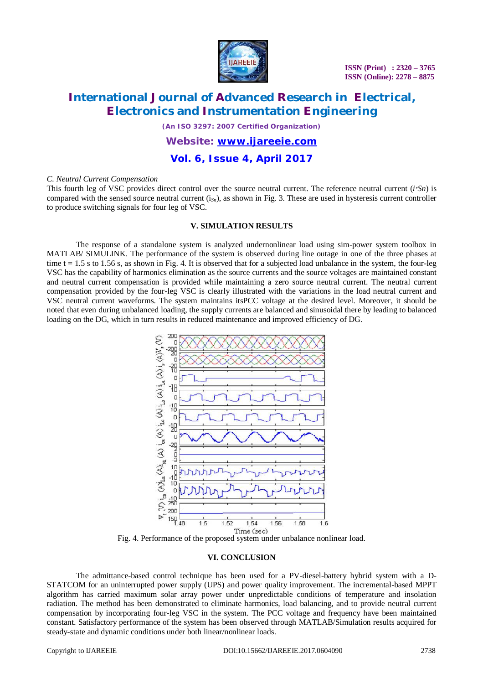

# **International Journal of Advanced Research in Electrical, Electronics and Instrumentation Engineering**

*(An ISO 3297: 2007 Certified Organization)*

### *Website: [www.ijareeie.com](http://www.ijareeie.com)*

**Vol. 6, Issue 4, April 2017**

#### *C. Neutral Current Compensation*

This fourth leg of VSC provides direct control over the source neutral current. The reference neutral current (*i <sup>∗</sup>Sn*) is compared with the sensed source neutral current (i*Sn*), as shown in Fig. 3. These are used in hysteresis current controller to produce switching signals for four leg of VSC.

#### **V. SIMULATION RESULTS**

The response of a standalone system is analyzed undernonlinear load using sim-power system toolbox in MATLAB/ SIMULINK. The performance of the system is observed during line outage in one of the three phases at time  $t = 1.5$  s to 1.56 s, as shown in Fig. 4. It is observed that for a subjected load unbalance in the system, the four-leg VSC has the capability of harmonics elimination as the source currents and the source voltages are maintained constant and neutral current compensation is provided while maintaining a zero source neutral current. The neutral current compensation provided by the four-leg VSC is clearly illustrated with the variations in the load neutral current and VSC neutral current waveforms. The system maintains itsPCC voltage at the desired level. Moreover, it should be noted that even during unbalanced loading, the supply currents are balanced and sinusoidal there by leading to balanced loading on the DG, which in turn results in reduced maintenance and improved efficiency of DG.



Fig. 4. Performance of the proposed system under unbalance nonlinear load.

#### **VI. CONCLUSION**

The admittance-based control technique has been used for a PV-diesel-battery hybrid system with a D-STATCOM for an uninterrupted power supply (UPS) and power quality improvement. The incremental-based MPPT algorithm has carried maximum solar array power under unpredictable conditions of temperature and insolation radiation. The method has been demonstrated to eliminate harmonics, load balancing, and to provide neutral current compensation by incorporating four-leg VSC in the system. The PCC voltage and frequency have been maintained constant. Satisfactory performance of the system has been observed through MATLAB/Simulation results acquired for steady-state and dynamic conditions under both linear/nonlinear loads.